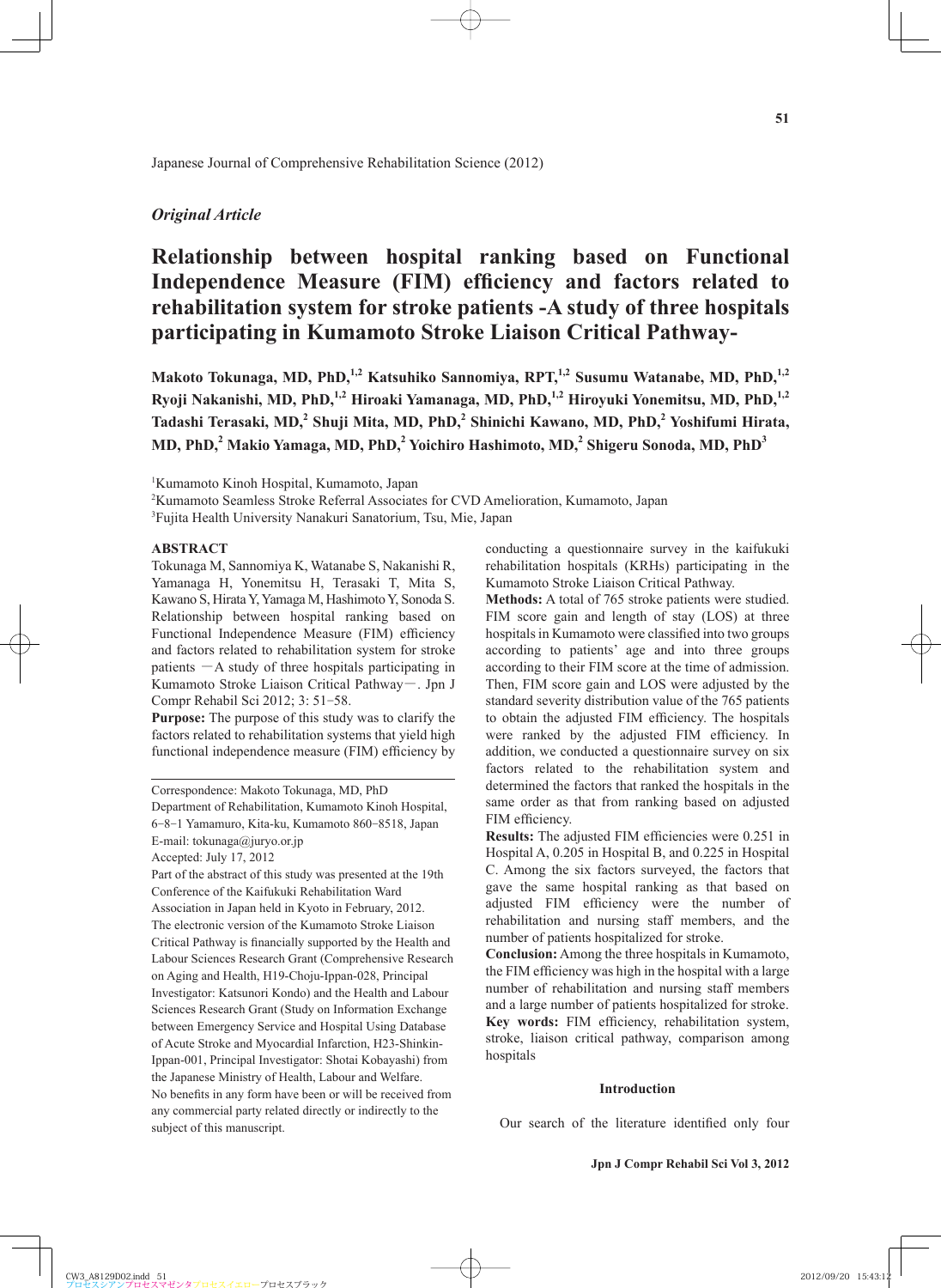## *Original Article*

# **Relationship between hospital ranking based on Functional**  Independence Measure (FIM) efficiency and factors related to **rehabilitation system for stroke patients -A study of three hospitals participating in Kumamoto Stroke Liaison Critical Pathway-**

Makoto Tokunaga, MD, PhD,<sup>1,2</sup> Katsuhiko Sannomiya, RPT,<sup>1,2</sup> Susumu Watanabe, MD, PhD,<sup>1,2</sup> **Ryoji Nakanishi, MD, PhD,1,2 Hiroaki Yamanaga, MD, PhD,1,2 Hiroyuki Yonemitsu, MD, PhD,1,2 Tadashi Terasaki, MD,<sup>2</sup> Shuji Mita, MD, PhD,<sup>2</sup> Shinichi Kawano, MD, PhD,<sup>2</sup> Yoshifumi Hirata, MD, PhD,<sup>2</sup> Makio Yamaga, MD, PhD,<sup>2</sup> Yoichiro Hashimoto, MD,2 Shigeru Sonoda, MD, PhD<sup>3</sup>**

1 Kumamoto Kinoh Hospital, Kumamoto, Japan

2 Kumamoto Seamless Stroke Referral Associates for CVD Amelioration, Kumamoto, Japan

<sup>3</sup>Fujita Health University Nanakuri Sanatorium, Tsu, Mie, Japan

## **ABSTRACT**

Tokunaga M, Sannomiya K, Watanabe S, Nakanishi R, Yamanaga H, Yonemitsu H, Terasaki T, Mita S, Kawano S, Hirata Y, Yamaga M, Hashimoto Y, Sonoda S. Relationship between hospital ranking based on Functional Independence Measure (FIM) efficiency and factors related to rehabilitation system for stroke patients  $-A$  study of three hospitals participating in Kumamoto Stroke Liaison Critical Pathway-. Jpn J Compr Rehabil Sci 2012; 3: 51-58.

**Purpose:** The purpose of this study was to clarify the factors related to rehabilitation systems that yield high functional independence measure (FIM) efficiency by

Correspondence: Makoto Tokunaga, MD, PhD

Department of Rehabilitation, Kumamoto Kinoh Hospital,

6-8-1 Yamamuro, Kita-ku, Kumamoto 860-8518, Japan

E-mail: tokunaga@juryo.or.jp

Accepted: July 17, 2012

Part of the abstract of this study was presented at the 19th Conference of the Kaifukuki Rehabilitation Ward Association in Japan held in Kyoto in February, 2012. The electronic version of the Kumamoto Stroke Liaison Critical Pathway is financially supported by the Health and Labour Sciences Research Grant (Comprehensive Research on Aging and Health, H19-Choju-Ippan-028, Principal Investigator: Katsunori Kondo) and the Health and Labour Sciences Research Grant (Study on Information Exchange between Emergency Service and Hospital Using Database of Acute Stroke and Myocardial Infarction, H23-Shinkin-Ippan-001, Principal Investigator: Shotai Kobayashi) from the Japanese Ministry of Health, Labour and Welfare. No benefits in any form have been or will be received from any commercial party related directly or indirectly to the subject of this manuscript.

conducting a questionnaire survey in the kaifukuki rehabilitation hospitals (KRHs) participating in the Kumamoto Stroke Liaison Critical Pathway.

**Methods:** A total of 765 stroke patients were studied. FIM score gain and length of stay (LOS) at three hospitals in Kumamoto were classified into two groups according to patients' age and into three groups according to their FIM score at the time of admission. Then, FIM score gain and LOS were adjusted by the standard severity distribution value of the 765 patients to obtain the adjusted FIM efficiency. The hospitals were ranked by the adjusted FIM efficiency. In addition, we conducted a questionnaire survey on six factors related to the rehabilitation system and determined the factors that ranked the hospitals in the same order as that from ranking based on adjusted FIM efficiency.

**Results:** The adjusted FIM efficiencies were 0.251 in Hospital A, 0.205 in Hospital B, and 0.225 in Hospital C. Among the six factors surveyed, the factors that gave the same hospital ranking as that based on adjusted FIM efficiency were the number of rehabilitation and nursing staff members, and the number of patients hospitalized for stroke.

**Conclusion:** Among the three hospitals in Kumamoto, the FIM efficiency was high in the hospital with a large number of rehabilitation and nursing staff members and a large number of patients hospitalized for stroke. Key words: FIM efficiency, rehabilitation system, stroke, liaison critical pathway, comparison among hospitals

#### **Introduction**

Our search of the literature identified only four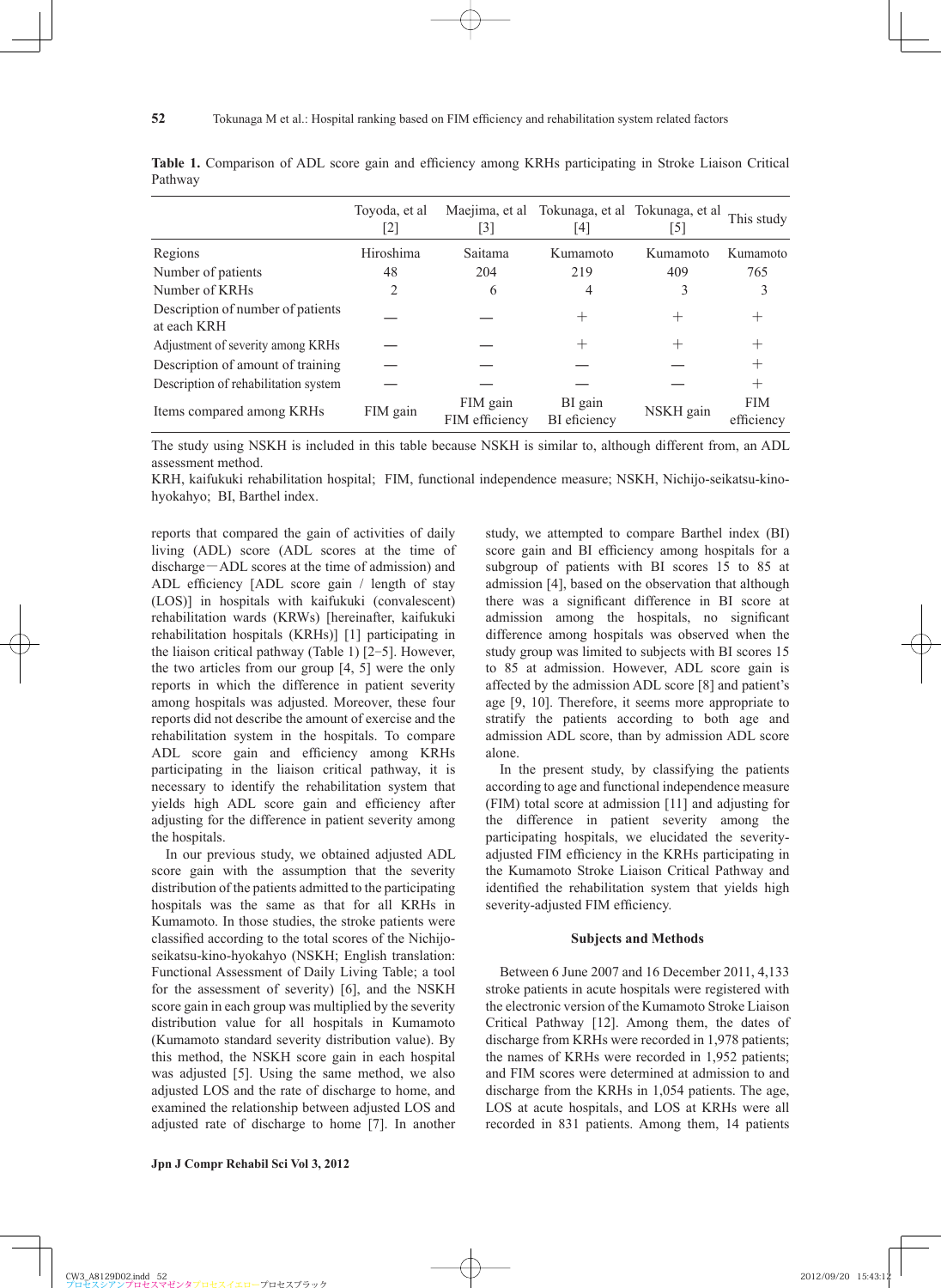|                                                  | Toyoda, et al<br>[2] | $\lceil 3 \rceil$          | Maejima, et al Tokunaga, et al Tokunaga, et al<br>14 | [5]       | This study               |
|--------------------------------------------------|----------------------|----------------------------|------------------------------------------------------|-----------|--------------------------|
| Regions                                          | Hiroshima            | Saitama                    | Kumamoto                                             | Kumamoto  | Kumamoto                 |
| Number of patients                               | 48                   | 204                        | 219                                                  | 409       | 765                      |
| Number of KRHs                                   | 2                    | 6                          | 4                                                    | 3         | 3                        |
| Description of number of patients<br>at each KRH |                      |                            | $^+$                                                 |           |                          |
| Adjustment of severity among KRHs                |                      |                            | $\,+\,$                                              |           |                          |
| Description of amount of training                |                      |                            |                                                      |           |                          |
| Description of rehabilitation system             |                      |                            |                                                      |           | $^+$                     |
| Items compared among KRHs                        | FIM gain             | FIM gain<br>FIM efficiency | BI gain<br>BI eficiency                              | NSKH gain | <b>FIM</b><br>efficiency |

Table 1. Comparison of ADL score gain and efficiency among KRHs participating in Stroke Liaison Critical Pathway

The study using NSKH is included in this table because NSKH is similar to, although different from, an ADL assessment method.

KRH, kaifukuki rehabilitation hospital; FIM, functional independence measure; NSKH, Nichijo-seikatsu-kinohyokahyo; BI, Barthel index.

reports that compared the gain of activities of daily living (ADL) score (ADL scores at the time of discharge-ADL scores at the time of admission) and ADL efficiency  $[ADL]$  score gain  $/$  length of stay (LOS)] in hospitals with kaifukuki (convalescent) rehabilitation wards (KRWs) [hereinafter, kaifukuki rehabilitation hospitals (KRHs)] [1] participating in the liaison critical pathway (Table 1) [2-5]. However, the two articles from our group [4, 5] were the only reports in which the difference in patient severity among hospitals was adjusted. Moreover, these four reports did not describe the amount of exercise and the rehabilitation system in the hospitals. To compare ADL score gain and efficiency among KRHs participating in the liaison critical pathway, it is necessary to identify the rehabilitation system that yields high ADL score gain and efficiency after adjusting for the difference in patient severity among the hospitals.

**52**

In our previous study, we obtained adjusted ADL score gain with the assumption that the severity distribution of the patients admitted to the participating hospitals was the same as that for all KRHs in Kumamoto. In those studies, the stroke patients were classified according to the total scores of the Nichijoseikatsu-kino-hyokahyo (NSKH; English translation: Functional Assessment of Daily Living Table; a tool for the assessment of severity) [6], and the NSKH score gain in each group was multiplied by the severity distribution value for all hospitals in Kumamoto (Kumamoto standard severity distribution value). By this method, the NSKH score gain in each hospital was adjusted [5]. Using the same method, we also adjusted LOS and the rate of discharge to home, and examined the relationship between adjusted LOS and adjusted rate of discharge to home [7]. In another study, we attempted to compare Barthel index (BI) score gain and BI efficiency among hospitals for a subgroup of patients with BI scores 15 to 85 at admission [4], based on the observation that although there was a significant difference in BI score at admission among the hospitals, no significant difference among hospitals was observed when the study group was limited to subjects with BI scores 15 to 85 at admission. However, ADL score gain is affected by the admission ADL score [8] and patient's age [9, 10]. Therefore, it seems more appropriate to stratify the patients according to both age and admission ADL score, than by admission ADL score alone.

In the present study, by classifying the patients according to age and functional independence measure (FIM) total score at admission [11] and adjusting for the difference in patient severity among the participating hospitals, we elucidated the severityadjusted FIM efficiency in the KRHs participating in the Kumamoto Stroke Liaison Critical Pathway and identified the rehabilitation system that yields high severity-adjusted FIM efficiency.

#### **Subjects and Methods**

Between 6 June 2007 and 16 December 2011, 4,133 stroke patients in acute hospitals were registered with the electronic version of the Kumamoto Stroke Liaison Critical Pathway [12]. Among them, the dates of discharge from KRHs were recorded in 1,978 patients; the names of KRHs were recorded in 1,952 patients; and FIM scores were determined at admission to and discharge from the KRHs in 1,054 patients. The age, LOS at acute hospitals, and LOS at KRHs were all recorded in 831 patients. Among them, 14 patients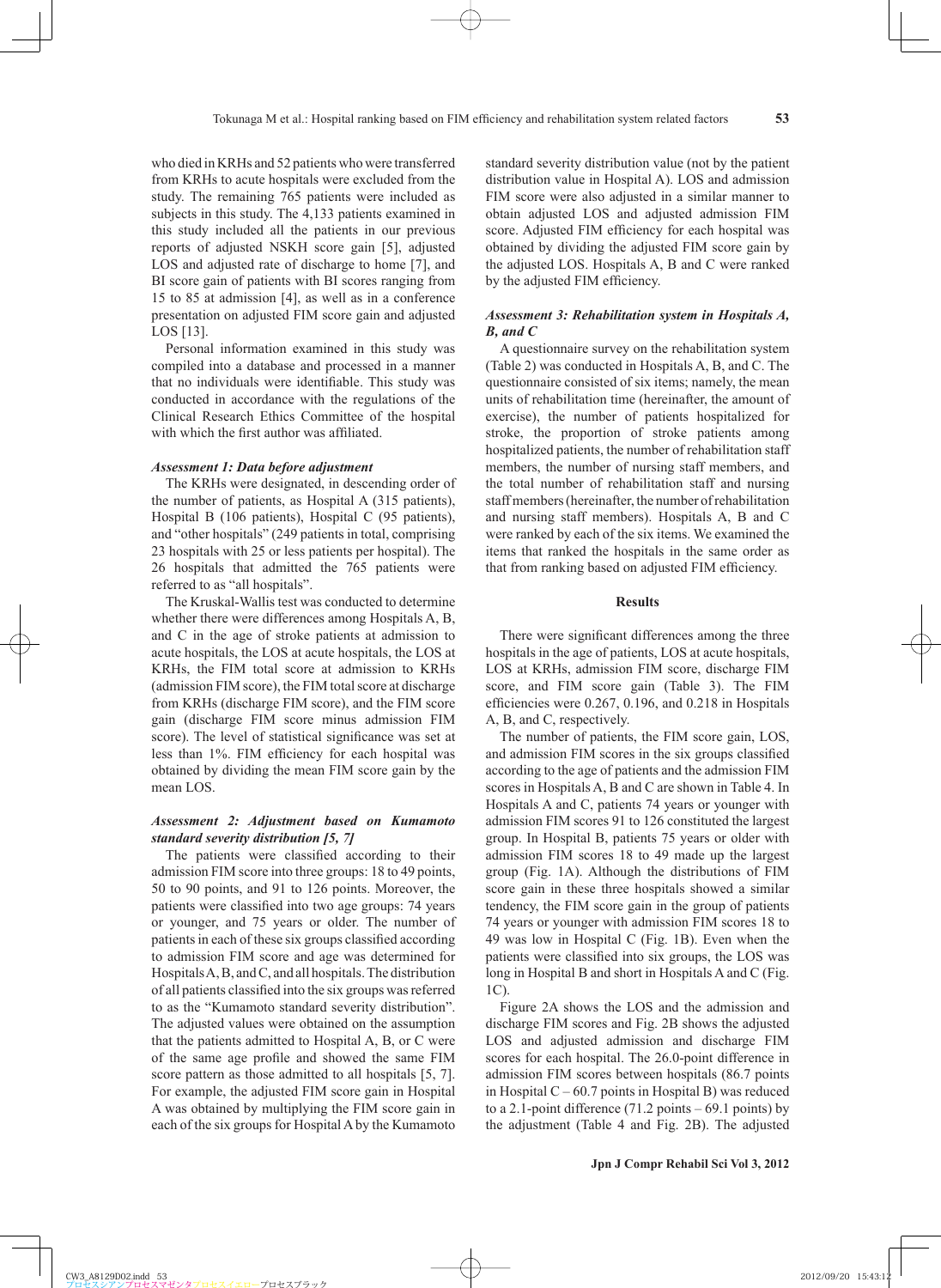who died in KRHs and 52 patients who were transferred from KRHs to acute hospitals were excluded from the study. The remaining 765 patients were included as subjects in this study. The 4,133 patients examined in this study included all the patients in our previous reports of adjusted NSKH score gain [5], adjusted LOS and adjusted rate of discharge to home [7], and BI score gain of patients with BI scores ranging from 15 to 85 at admission [4], as well as in a conference presentation on adjusted FIM score gain and adjusted LOS [13].

Personal information examined in this study was compiled into a database and processed in a manner that no individuals were identifiable. This study was conducted in accordance with the regulations of the Clinical Research Ethics Committee of the hospital with which the first author was affiliated.

#### *Assessment 1: Data before adjustment*

The KRHs were designated, in descending order of the number of patients, as Hospital A (315 patients), Hospital B (106 patients), Hospital C (95 patients), and "other hospitals" (249 patients in total, comprising 23 hospitals with 25 or less patients per hospital). The 26 hospitals that admitted the 765 patients were referred to as "all hospitals".

The Kruskal-Wallis test was conducted to determine whether there were differences among Hospitals A, B, and C in the age of stroke patients at admission to acute hospitals, the LOS at acute hospitals, the LOS at KRHs, the FIM total score at admission to KRHs (admission FIM score), the FIM total score at discharge from KRHs (discharge FIM score), and the FIM score gain (discharge FIM score minus admission FIM score). The level of statistical significance was set at less than 1%. FIM efficiency for each hospital was obtained by dividing the mean FIM score gain by the mean LOS.

## *Assessment 2: Adjustment based on Kumamoto standard severity distribution [5, 7]*

The patients were classified according to their admission FIM score into three groups: 18 to 49 points, 50 to 90 points, and 91 to 126 points. Moreover, the patients were classified into two age groups: 74 years or younger, and 75 years or older. The number of patients in each of these six groups classified according to admission FIM score and age was determined for Hospitals A, B, and C, and all hospitals. The distribution of all patients classified into the six groups was referred to as the "Kumamoto standard severity distribution". The adjusted values were obtained on the assumption that the patients admitted to Hospital A, B, or C were of the same age profile and showed the same FIM score pattern as those admitted to all hospitals [5, 7]. For example, the adjusted FIM score gain in Hospital A was obtained by multiplying the FIM score gain in each of the six groups for Hospital A by the Kumamoto

standard severity distribution value (not by the patient distribution value in Hospital A). LOS and admission FIM score were also adjusted in a similar manner to obtain adjusted LOS and adjusted admission FIM score. Adjusted FIM efficiency for each hospital was obtained by dividing the adjusted FIM score gain by the adjusted LOS. Hospitals A, B and C were ranked by the adjusted FIM efficiency.

## *Assessment 3: Rehabilitation system in Hospitals A, B, and C*

A questionnaire survey on the rehabilitation system (Table 2) was conducted in Hospitals A, B, and C. The questionnaire consisted of six items; namely, the mean units of rehabilitation time (hereinafter, the amount of exercise), the number of patients hospitalized for stroke, the proportion of stroke patients among hospitalized patients, the number of rehabilitation staff members, the number of nursing staff members, and the total number of rehabilitation staff and nursing staff members (hereinafter, the number of rehabilitation and nursing staff members). Hospitals A, B and C were ranked by each of the six items. We examined the items that ranked the hospitals in the same order as that from ranking based on adjusted FIM efficiency.

## **Results**

There were significant differences among the three hospitals in the age of patients, LOS at acute hospitals, LOS at KRHs, admission FIM score, discharge FIM score, and FIM score gain (Table 3). The FIM efficiencies were  $0.267$ ,  $0.196$ , and  $0.218$  in Hospitals A, B, and C, respectively.

The number of patients, the FIM score gain, LOS, and admission FIM scores in the six groups classified according to the age of patients and the admission FIM scores in Hospitals A, B and C are shown in Table 4. In Hospitals A and C, patients 74 years or younger with admission FIM scores 91 to 126 constituted the largest group. In Hospital B, patients 75 years or older with admission FIM scores 18 to 49 made up the largest group (Fig. 1A). Although the distributions of FIM score gain in these three hospitals showed a similar tendency, the FIM score gain in the group of patients 74 years or younger with admission FIM scores 18 to 49 was low in Hospital C (Fig. 1B). Even when the patients were classified into six groups, the LOS was long in Hospital B and short in Hospitals A and C (Fig. 1C).

Figure 2A shows the LOS and the admission and discharge FIM scores and Fig. 2B shows the adjusted LOS and adjusted admission and discharge FIM scores for each hospital. The 26.0-point difference in admission FIM scores between hospitals (86.7 points in Hospital  $C - 60.7$  points in Hospital B) was reduced to a 2.1-point difference  $(71.2 \text{ points} - 69.1 \text{ points})$  by the adjustment (Table 4 and Fig. 2B). The adjusted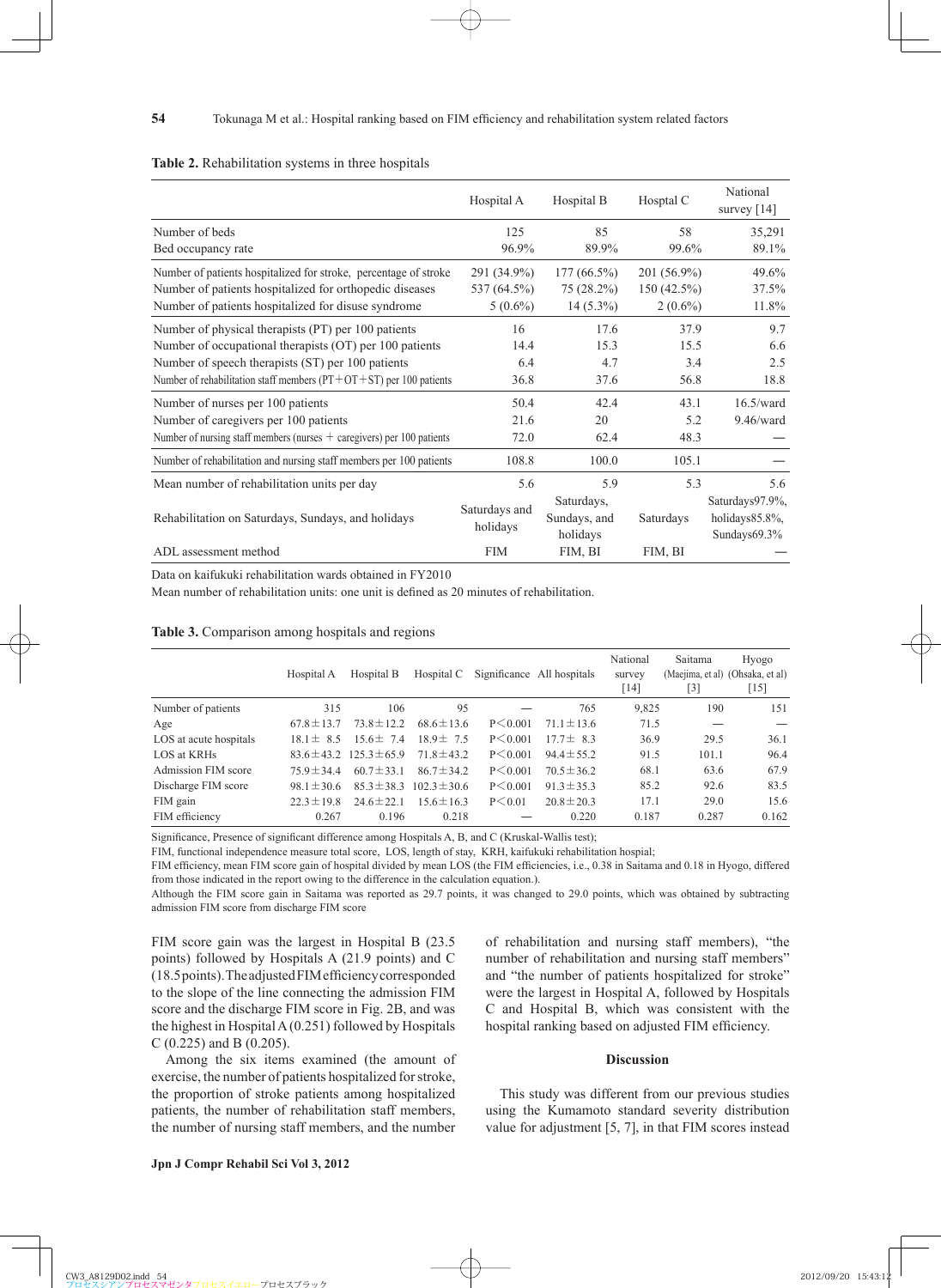|                                                                          | Hospital A    | Hospital B    | Hosptal C     | National<br>survey $[14]$ |
|--------------------------------------------------------------------------|---------------|---------------|---------------|---------------------------|
| Number of beds                                                           | 125           | 85            | 58            | 35,291                    |
| Bed occupancy rate                                                       | 96.9%         | 89.9%         | 99.6%         | 89.1%                     |
| Number of patients hospitalized for stroke, percentage of stroke         | 291 (34.9%)   | $177(66.5\%)$ | 201 (56.9%)   | 49.6%                     |
| Number of patients hospitalized for orthopedic diseases                  | 537 (64.5%)   | $75(28.2\%)$  | $150(42.5\%)$ | 37.5%                     |
| Number of patients hospitalized for disuse syndrome                      | $5(0.6\%)$    | $14(5.3\%)$   | $2(0.6\%)$    | 11.8%                     |
| Number of physical therapists (PT) per 100 patients                      | 16            | 17.6          | 37.9          | 9.7                       |
| Number of occupational therapists (OT) per 100 patients                  | 14.4          | 15.3          | 15.5          | 6.6                       |
| Number of speech therapists (ST) per 100 patients                        | 6.4           | 4.7           | 3.4           | 2.5                       |
| Number of rehabilitation staff members ( $PT+OT+ST$ ) per 100 patients   | 36.8          | 37.6          | 56.8          | 18.8                      |
| Number of nurses per 100 patients                                        | 50.4          | 42.4          | 43.1          | $16.5$ /ward              |
| Number of caregivers per 100 patients                                    | 21.6          | 20            | 5.2           | $9.46$ /ward              |
| Number of nursing staff members (nurses $+$ caregivers) per 100 patients | 72.0          | 62.4          | 48.3          |                           |
| Number of rehabilitation and nursing staff members per 100 patients      | 108.8         | 100.0         | 105.1         |                           |
| Mean number of rehabilitation units per day                              | 5.6           | 5.9           | 5.3           | 5.6                       |
|                                                                          | Saturdays and | Saturdays,    |               | Saturdays97.9%,           |
| Rehabilitation on Saturdays, Sundays, and holidays                       |               | Sundays, and  | Saturdays     | holidays85.8%,            |
|                                                                          | holidays      | holidays      |               | Sundays $69.3\%$          |
| ADL assessment method                                                    | <b>FIM</b>    | FIM, BI       | FIM, BI       |                           |

#### **Table 2.** Rehabilitation systems in three hospitals

**54**

Data on kaifukuki rehabilitation wards obtained in FY2010

Mean number of rehabilitation units: one unit is defined as 20 minutes of rehabilitation.

#### **Table 3.** Comparison among hospitals and regions

|                        | Hospital A      | Hospital B                       | Hospital C       |               | Significance All hospitals | National<br>survey<br>[14] | Saitama<br>$[3]$ | Hyogo<br>(Maejima, et al) (Ohsaka, et al)<br>$[15]$ |
|------------------------|-----------------|----------------------------------|------------------|---------------|----------------------------|----------------------------|------------------|-----------------------------------------------------|
| Number of patients     | 315             | 106                              | 95               |               | 765                        | 9.825                      | 190              | 151                                                 |
| Age                    | $67.8 \pm 13.7$ | $73.8 \pm 12.2$                  | $68.6 \pm 13.6$  | $P \le 0.001$ | $71.1 \pm 13.6$            | 71.5                       |                  |                                                     |
| LOS at acute hospitals | $18.1 \pm 8.5$  | $15.6 \pm 7.4$                   | $18.9 \pm 7.5$   | $P \le 0.001$ | $177 \pm 83$               | 36.9                       | 29.5             | 36.1                                                |
| LOS at KRHs            |                 | $83.6 \pm 43.2$ 125.3 $\pm 65.9$ | $71.8 \pm 43.2$  | $P \le 0.001$ | $94.4 \pm 55.2$            | 91.5                       | 101.1            | 96.4                                                |
| Admission FIM score    | $75.9 \pm 34.4$ | $60.7 \pm 33.1$                  | $86.7 \pm 34.2$  | $P \le 0.001$ | $70.5 \pm 36.2$            | 68.1                       | 63.6             | 67.9                                                |
| Discharge FIM score    | $98.1 \pm 30.6$ | $85.3 \pm 38.3$                  | $102.3 \pm 30.6$ | $P \le 0.001$ | $91.3 \pm 35.3$            | 85.2                       | 92.6             | 83.5                                                |
| FIM gain               | $22.3 \pm 19.8$ | $24.6 \pm 22.1$                  | $15.6 \pm 16.3$  | $P \le 0.01$  | $20.8 \pm 20.3$            | 17.1                       | 29.0             | 15.6                                                |
| FIM efficiency         | 0.267           | 0.196                            | 0.218            |               | 0.220                      | 0.187                      | 0.287            | 0.162                                               |

Significance, Presence of significant difference among Hospitals A, B, and C (Kruskal-Wallis test);

FIM, functional independence measure total score, LOS, length of stay, KRH, kaifukuki rehabilitation hospial;

FIM efficiency, mean FIM score gain of hospital divided by mean LOS (the FIM efficiencies, i.e., 0.38 in Saitama and 0.18 in Hyogo, differed from those indicated in the report owing to the difference in the calculation equation.).

Although the FIM score gain in Saitama was reported as 29.7 points, it was changed to 29.0 points, which was obtained by subtracting admission FIM score from discharge FIM score

FIM score gain was the largest in Hospital B (23.5 points) followed by Hospitals A (21.9 points) and C  $(18.5 \text{ points})$ . The adjusted FIM efficiency corresponded to the slope of the line connecting the admission FIM score and the discharge FIM score in Fig. 2B, and was the highest in Hospital A (0.251) followed by Hospitals C (0.225) and B (0.205).

Among the six items examined (the amount of exercise, the number of patients hospitalized for stroke, the proportion of stroke patients among hospitalized patients, the number of rehabilitation staff members, the number of nursing staff members, and the number of rehabilitation and nursing staff members), "the number of rehabilitation and nursing staff members" and "the number of patients hospitalized for stroke" were the largest in Hospital A, followed by Hospitals C and Hospital B, which was consistent with the hospital ranking based on adjusted FIM efficiency.

## **Discussion**

This study was different from our previous studies using the Kumamoto standard severity distribution value for adjustment [5, 7], in that FIM scores instead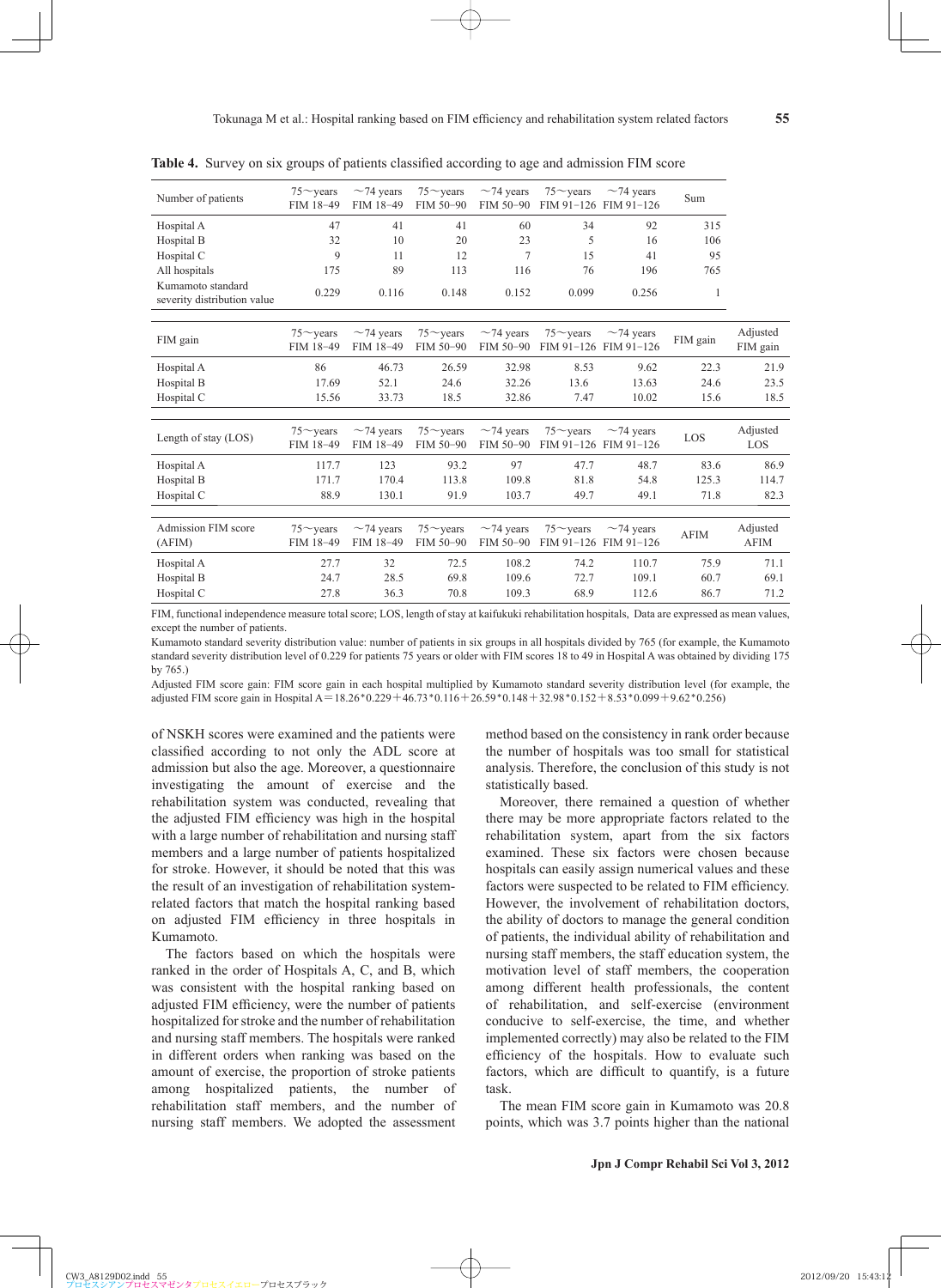| Number of patients                               | $75 \sim$ years<br>FIM 18-49 | $\sim$ 74 years<br>FIM 18-49 | $75 \sim$ years<br>FIM 50-90 | $\sim$ 74 years<br>FIM 50-90 | $75 \sim$ years | $\sim$ 74 years<br>FIM 91-126 FIM 91-126 | Sum         |                         |
|--------------------------------------------------|------------------------------|------------------------------|------------------------------|------------------------------|-----------------|------------------------------------------|-------------|-------------------------|
| Hospital A                                       | 47                           | 41                           | 41                           | 60                           | 34              | 92                                       | 315         |                         |
| Hospital B                                       | 32                           | 10                           | 20                           | 23                           | 5               | 16                                       | 106         |                         |
| Hospital C                                       | 9                            | 11                           | 12                           | 7                            | 15              | 41                                       | 95          |                         |
| All hospitals                                    | 175                          | 89                           | 113                          | 116                          | 76              | 196                                      | 765         |                         |
| Kumamoto standard<br>severity distribution value | 0.229                        | 0.116                        | 0.148                        | 0.152                        | 0.099           | 0.256                                    | 1           |                         |
| FIM gain                                         | $75 \sim$ vears<br>FIM 18-49 | $\sim$ 74 years<br>FIM 18-49 | $75 \sim$ years<br>FIM 50-90 | $\sim$ 74 years<br>FIM 50-90 | $75 \sim$ years | $\sim$ 74 years<br>FIM 91-126 FIM 91-126 | FIM gain    | Adjusted<br>FIM gain    |
| Hospital A                                       | 86                           | 46.73                        | 26.59                        | 32.98                        | 8.53            | 9.62                                     | 22.3        | 21.9                    |
| Hospital B                                       | 17.69                        | 52.1                         | 24.6                         | 32.26                        | 13.6            | 13.63                                    | 24.6        | 23.5                    |
| Hospital C                                       | 15.56                        | 33.73                        | 18.5                         | 32.86                        | 7.47            | 10.02                                    | 15.6        | 18.5                    |
| Length of stay (LOS)                             | $75 \sim$ vears<br>FIM 18-49 | $\sim$ 74 years<br>FIM 18-49 | $75 \sim$ years<br>FIM 50-90 | $\sim$ 74 years<br>FIM 50-90 | $75 \sim$ years | $\sim$ 74 years<br>FIM 91-126 FIM 91-126 | LOS         | Adjusted<br>LOS         |
| Hospital A                                       | 117.7                        | 123                          | 93.2                         | 97                           | 47.7            | 48.7                                     | 83.6        | 86.9                    |
| Hospital B                                       | 171.7                        | 170.4                        | 113.8                        | 109.8                        | 81.8            | 54.8                                     | 125.3       | 114.7                   |
| Hospital C                                       | 88.9                         | 130.1                        | 91.9                         | 103.7                        | 49.7            | 49.1                                     | 71.8        | 82.3                    |
|                                                  |                              |                              |                              |                              |                 |                                          |             |                         |
| <b>Admission FIM score</b><br>(AFIN)             | $75 \sim$ years<br>FIM 18-49 | $\sim$ 74 years<br>FIM 18-49 | $75 \sim$ years<br>FIM 50-90 | $\sim$ 74 years<br>FIM 50-90 | $75 \sim$ years | $\sim$ 74 years<br>FIM 91-126 FIM 91-126 | <b>AFIM</b> | Adjusted<br><b>AFIM</b> |
| Hospital A                                       | 27.7                         | 32                           | 72.5                         | 108.2                        | 74.2            | 110.7                                    | 75.9        | 71.1                    |
| Hospital B                                       | 24.7                         | 28.5                         | 69.8                         | 109.6                        | 72.7            | 109.1                                    | 60.7        | 69.1                    |
| Hospital C                                       | 27.8                         | 36.3                         | 70.8                         | 109.3                        | 68.9            | 112.6                                    | 86.7        | 71.2                    |
|                                                  |                              |                              |                              |                              |                 |                                          |             |                         |

**Table 4.** Survey on six groups of patients classified according to age and admission FIM score

FIM, functional independence measure total score; LOS, length of stay at kaifukuki rehabilitation hospitals, Data are expressed as mean values, except the number of patients.

Kumamoto standard severity distribution value: number of patients in six groups in all hospitals divided by 765 (for example, the Kumamoto standard severity distribution level of 0.229 for patients 75 years or older with FIM scores 18 to 49 in Hospital A was obtained by dividing 175 by 765.)

Adjusted FIM score gain: FIM score gain in each hospital multiplied by Kumamoto standard severity distribution level (for example, the adjusted FIM score gain in Hospital A=18.26\*0.229+46.73\*0.116+26.59\*0.148+32.98\*0.152+8.53\*0.099+9.62\*0.256)

of NSKH scores were examined and the patients were classified according to not only the ADL score at admission but also the age. Moreover, a questionnaire investigating the amount of exercise and the rehabilitation system was conducted, revealing that the adjusted FIM efficiency was high in the hospital with a large number of rehabilitation and nursing staff members and a large number of patients hospitalized for stroke. However, it should be noted that this was the result of an investigation of rehabilitation systemrelated factors that match the hospital ranking based on adjusted FIM efficiency in three hospitals in Kumamoto.

The factors based on which the hospitals were ranked in the order of Hospitals A, C, and B, which was consistent with the hospital ranking based on adjusted FIM efficiency, were the number of patients hospitalized for stroke and the number of rehabilitation and nursing staff members. The hospitals were ranked in different orders when ranking was based on the amount of exercise, the proportion of stroke patients among hospitalized patients, the number of rehabilitation staff members, and the number of nursing staff members. We adopted the assessment method based on the consistency in rank order because the number of hospitals was too small for statistical analysis. Therefore, the conclusion of this study is not statistically based.

Moreover, there remained a question of whether there may be more appropriate factors related to the rehabilitation system, apart from the six factors examined. These six factors were chosen because hospitals can easily assign numerical values and these factors were suspected to be related to FIM efficiency. However, the involvement of rehabilitation doctors, the ability of doctors to manage the general condition of patients, the individual ability of rehabilitation and nursing staff members, the staff education system, the motivation level of staff members, the cooperation among different health professionals, the content of rehabilitation, and self-exercise (environment conducive to self-exercise, the time, and whether implemented correctly) may also be related to the FIM efficiency of the hospitals. How to evaluate such factors, which are difficult to quantify, is a future task.

The mean FIM score gain in Kumamoto was 20.8 points, which was 3.7 points higher than the national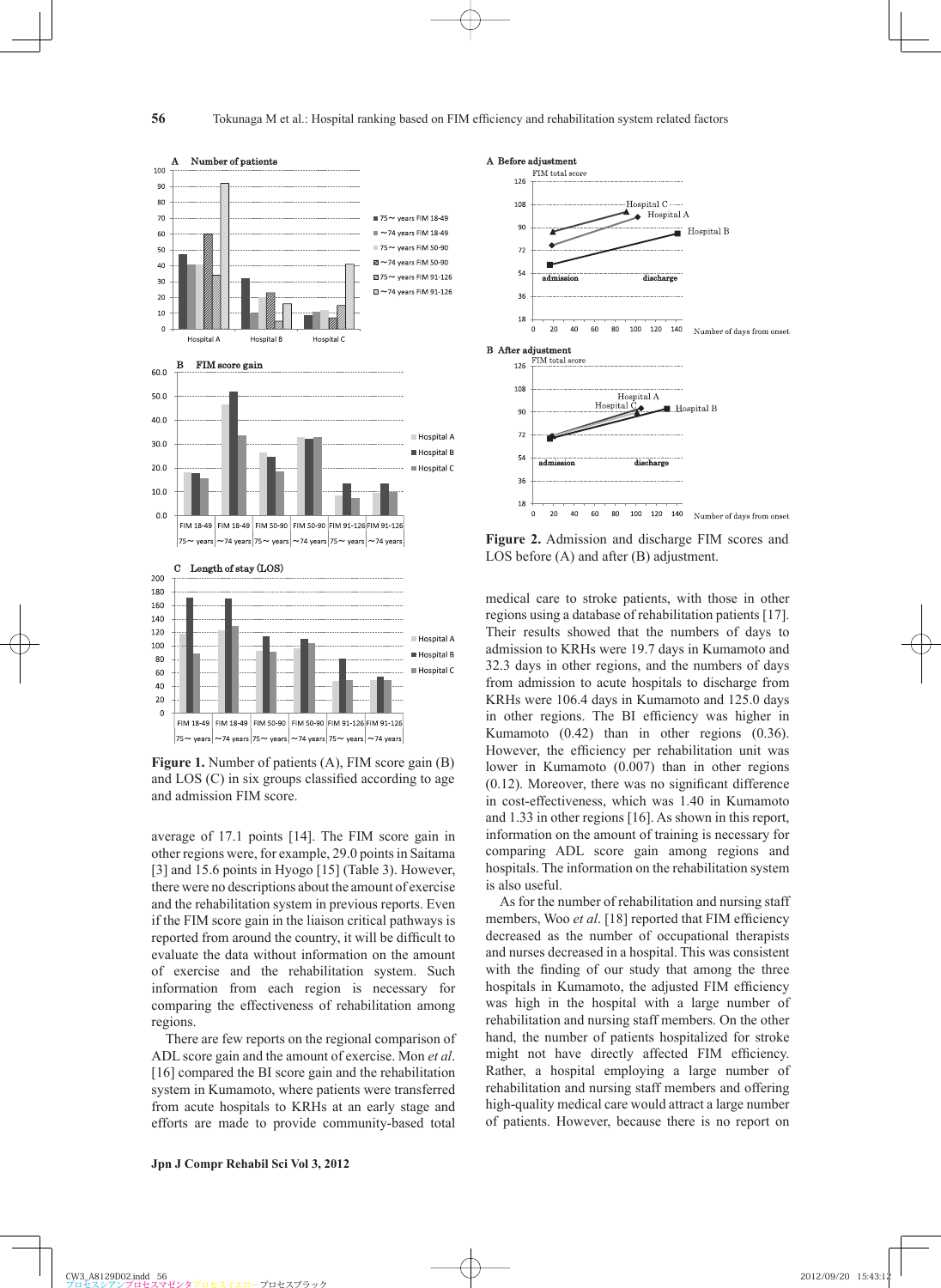

Figure 1. Number of patients (A), FIM score gain (B) and  $LOS (C)$  in six groups classified according to age and admission FIM score.

average of 17.1 points [14]. The FIM score gain in other regions were, for example, 29.0 points in Saitama [3] and 15.6 points in Hyogo [15] (Table 3). However, there were no descriptions about the amount of exercise and the rehabilitation system in previous reports. Even if the FIM score gain in the liaison critical pathways is reported from around the country, it will be difficult to evaluate the data without information on the amount of exercise and the rehabilitation system. Such information from each region is necessary for comparing the effectiveness of rehabilitation among regions.

There are few reports on the regional comparison of ADL score gain and the amount of exercise. Mon *et al*. [16] compared the BI score gain and the rehabilitation system in Kumamoto, where patients were transferred from acute hospitals to KRHs at an early stage and efforts are made to provide community-based total



**Figure 2.** Admission and discharge FIM scores and LOS before (A) and after (B) adjustment.

medical care to stroke patients, with those in other regions using a database of rehabilitation patients [17]. Their results showed that the numbers of days to admission to KRHs were 19.7 days in Kumamoto and 32.3 days in other regions, and the numbers of days from admission to acute hospitals to discharge from KRHs were 106.4 days in Kumamoto and 125.0 days in other regions. The BI efficiency was higher in Kumamoto (0.42) than in other regions (0.36). However, the efficiency per rehabilitation unit was lower in Kumamoto (0.007) than in other regions  $(0.12)$ . Moreover, there was no significant difference in cost-effectiveness, which was 1.40 in Kumamoto and 1.33 in other regions [16]. As shown in this report, information on the amount of training is necessary for comparing ADL score gain among regions and hospitals. The information on the rehabilitation system is also useful.

As for the number of rehabilitation and nursing staff members, Woo *et al.* [18] reported that FIM efficiency decreased as the number of occupational therapists and nurses decreased in a hospital. This was consistent with the finding of our study that among the three hospitals in Kumamoto, the adjusted FIM efficiency was high in the hospital with a large number of rehabilitation and nursing staff members. On the other hand, the number of patients hospitalized for stroke might not have directly affected FIM efficiency. Rather, a hospital employing a large number of rehabilitation and nursing staff members and offering high-quality medical care would attract a large number of patients. However, because there is no report on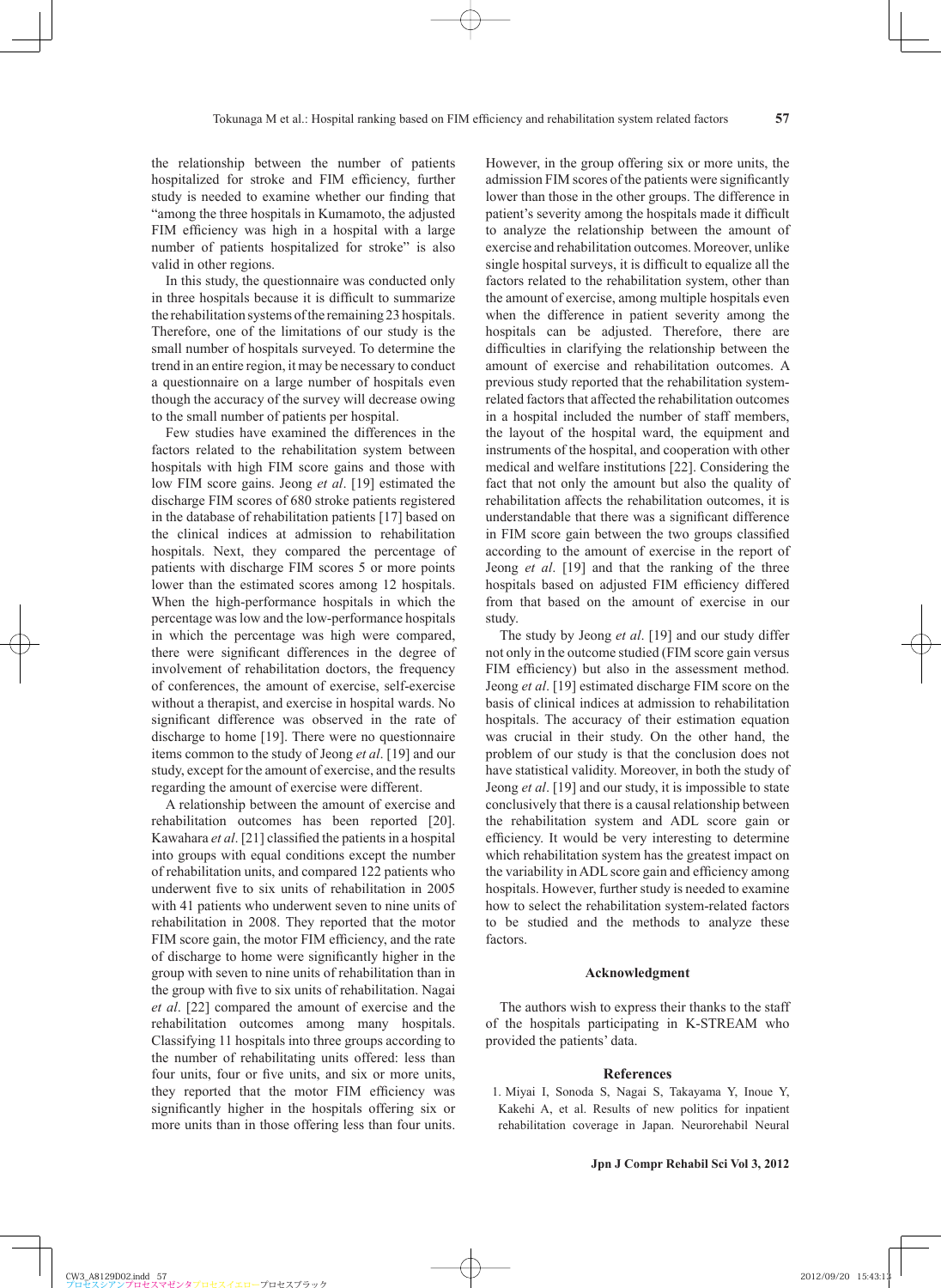the relationship between the number of patients hospitalized for stroke and FIM efficiency, further study is needed to examine whether our finding that "among the three hospitals in Kumamoto, the adjusted FIM efficiency was high in a hospital with a large number of patients hospitalized for stroke" is also valid in other regions.

In this study, the questionnaire was conducted only in three hospitals because it is difficult to summarize the rehabilitation systems of the remaining 23 hospitals. Therefore, one of the limitations of our study is the small number of hospitals surveyed. To determine the trend in an entire region, it may be necessary to conduct a questionnaire on a large number of hospitals even though the accuracy of the survey will decrease owing to the small number of patients per hospital.

Few studies have examined the differences in the factors related to the rehabilitation system between hospitals with high FIM score gains and those with low FIM score gains. Jeong *et al*. [19] estimated the discharge FIM scores of 680 stroke patients registered in the database of rehabilitation patients [17] based on the clinical indices at admission to rehabilitation hospitals. Next, they compared the percentage of patients with discharge FIM scores 5 or more points lower than the estimated scores among 12 hospitals. When the high-performance hospitals in which the percentage was low and the low-performance hospitals in which the percentage was high were compared, there were significant differences in the degree of involvement of rehabilitation doctors, the frequency of conferences, the amount of exercise, self-exercise without a therapist, and exercise in hospital wards. No significant difference was observed in the rate of discharge to home [19]. There were no questionnaire items common to the study of Jeong *et al*. [19] and our study, except for the amount of exercise, and the results regarding the amount of exercise were different.

A relationship between the amount of exercise and rehabilitation outcomes has been reported [20]. Kawahara *et al.* [21] classified the patients in a hospital into groups with equal conditions except the number of rehabilitation units, and compared 122 patients who underwent five to six units of rehabilitation in 2005 with 41 patients who underwent seven to nine units of rehabilitation in 2008. They reported that the motor FIM score gain, the motor FIM efficiency, and the rate of discharge to home were significantly higher in the group with seven to nine units of rehabilitation than in the group with five to six units of rehabilitation. Nagai *et al*. [22] compared the amount of exercise and the rehabilitation outcomes among many hospitals. Classifying 11 hospitals into three groups according to the number of rehabilitating units offered: less than four units, four or five units, and six or more units, they reported that the motor FIM efficiency was significantly higher in the hospitals offering six or more units than in those offering less than four units.

However, in the group offering six or more units, the admission FIM scores of the patients were significantly lower than those in the other groups. The difference in patient's severity among the hospitals made it difficult to analyze the relationship between the amount of exercise and rehabilitation outcomes. Moreover, unlike single hospital surveys, it is difficult to equalize all the factors related to the rehabilitation system, other than the amount of exercise, among multiple hospitals even when the difference in patient severity among the hospitals can be adjusted. Therefore, there are difficulties in clarifying the relationship between the amount of exercise and rehabilitation outcomes. A previous study reported that the rehabilitation systemrelated factors that affected the rehabilitation outcomes in a hospital included the number of staff members, the layout of the hospital ward, the equipment and instruments of the hospital, and cooperation with other medical and welfare institutions [22]. Considering the fact that not only the amount but also the quality of rehabilitation affects the rehabilitation outcomes, it is understandable that there was a significant difference in FIM score gain between the two groups classified according to the amount of exercise in the report of Jeong *et al*. [19] and that the ranking of the three hospitals based on adjusted FIM efficiency differed from that based on the amount of exercise in our study.

The study by Jeong *et al*. [19] and our study differ not only in the outcome studied (FIM score gain versus FIM efficiency) but also in the assessment method. Jeong *et al*. [19] estimated discharge FIM score on the basis of clinical indices at admission to rehabilitation hospitals. The accuracy of their estimation equation was crucial in their study. On the other hand, the problem of our study is that the conclusion does not have statistical validity. Moreover, in both the study of Jeong *et al*. [19] and our study, it is impossible to state conclusively that there is a causal relationship between the rehabilitation system and ADL score gain or efficiency. It would be very interesting to determine which rehabilitation system has the greatest impact on the variability in ADL score gain and efficiency among hospitals. However, further study is needed to examine how to select the rehabilitation system-related factors to be studied and the methods to analyze these factors.

#### **Acknowledgment**

The authors wish to express their thanks to the staff of the hospitals participating in K-STREAM who provided the patients' data.

## **References**

 1 . Miyai I, Sonoda S, Nagai S, Takayama Y, Inoue Y, Kakehi A, et al. Results of new politics for inpatient rehabilitation coverage in Japan. Neurorehabil Neural